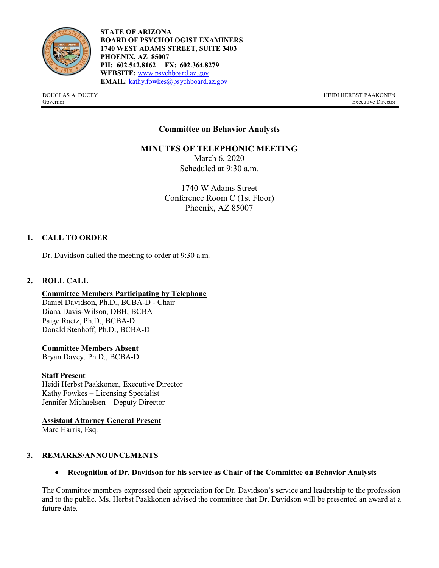

**STATE OF ARIZONA BOARD OF PSYCHOLOGIST EXAMINERS 1740 WEST ADAMS STREET, SUITE 3403 PHOENIX, AZ 85007 PH: 602.542.8162 FX: 602.364.8279 WEBSITE:** [www.psychboard.az.gov](http://www.psychboard.az.gov/)  **EMAIL**[: kathy.fowkes@psychboard.az.gov](mailto:kathy.fowkes@psychboard.az.gov)

DOUGLAS A. DUCEY HEIDI HERBST PAAKONEN Governor Executive Director

# **Committee on Behavior Analysts**

# **MINUTES OF TELEPHONIC MEETING**

March 6, 2020 Scheduled at 9:30 a.m.

1740 W Adams Street Conference Room C (1st Floor) Phoenix, AZ 85007

# **1. CALL TO ORDER**

Dr. Davidson called the meeting to order at 9:30 a.m.

### **2. ROLL CALL**

#### **Committee Members Participating by Telephone**

Daniel Davidson, Ph.D., BCBA-D - Chair Diana Davis-Wilson, DBH, BCBA Paige Raetz, Ph.D., BCBA-D Donald Stenhoff, Ph.D., BCBA-D

#### **Committee Members Absent**

Bryan Davey, Ph.D., BCBA-D

#### **Staff Present**

Heidi Herbst Paakkonen, Executive Director Kathy Fowkes – Licensing Specialist Jennifer Michaelsen – Deputy Director

**Assistant Attorney General Present**

Marc Harris, Esq.

#### **3. REMARKS/ANNOUNCEMENTS**

• **Recognition of Dr. Davidson for his service as Chair of the Committee on Behavior Analysts**

The Committee members expressed their appreciation for Dr. Davidson's service and leadership to the profession and to the public. Ms. Herbst Paakkonen advised the committee that Dr. Davidson will be presented an award at a future date.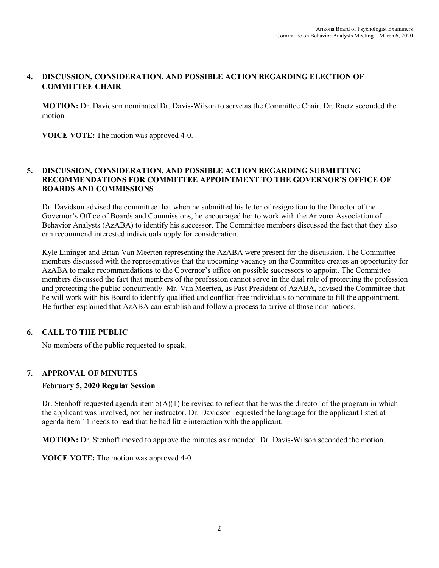# **4. DISCUSSION, CONSIDERATION, AND POSSIBLE ACTION REGARDING ELECTION OF COMMITTEE CHAIR**

**MOTION:** Dr. Davidson nominated Dr. Davis-Wilson to serve as the Committee Chair. Dr. Raetz seconded the motion.

**VOICE VOTE:** The motion was approved 4-0.

# **5. DISCUSSION, CONSIDERATION, AND POSSIBLE ACTION REGARDING SUBMITTING RECOMMENDATIONS FOR COMMITTEE APPOINTMENT TO THE GOVERNOR'S OFFICE OF BOARDS AND COMMISSIONS**

Dr. Davidson advised the committee that when he submitted his letter of resignation to the Director of the Governor's Office of Boards and Commissions, he encouraged her to work with the Arizona Association of Behavior Analysts (AzABA) to identify his successor. The Committee members discussed the fact that they also can recommend interested individuals apply for consideration.

Kyle Lininger and Brian Van Meerten representing the AzABA were present for the discussion. The Committee members discussed with the representatives that the upcoming vacancy on the Committee creates an opportunity for AzABA to make recommendations to the Governor's office on possible successors to appoint. The Committee members discussed the fact that members of the profession cannot serve in the dual role of protecting the profession and protecting the public concurrently. Mr. Van Meerten, as Past President of AzABA, advised the Committee that he will work with his Board to identify qualified and conflict-free individuals to nominate to fill the appointment. He further explained that AzABA can establish and follow a process to arrive at those nominations.

# **6. CALL TO THE PUBLIC**

No members of the public requested to speak.

# **7. APPROVAL OF MINUTES**

#### **February 5, 2020 Regular Session**

Dr. Stenhoff requested agenda item  $5(A)(1)$  be revised to reflect that he was the director of the program in which the applicant was involved, not her instructor. Dr. Davidson requested the language for the applicant listed at agenda item 11 needs to read that he had little interaction with the applicant.

**MOTION:** Dr. Stenhoff moved to approve the minutes as amended. Dr. Davis-Wilson seconded the motion.

**VOICE VOTE:** The motion was approved 4-0.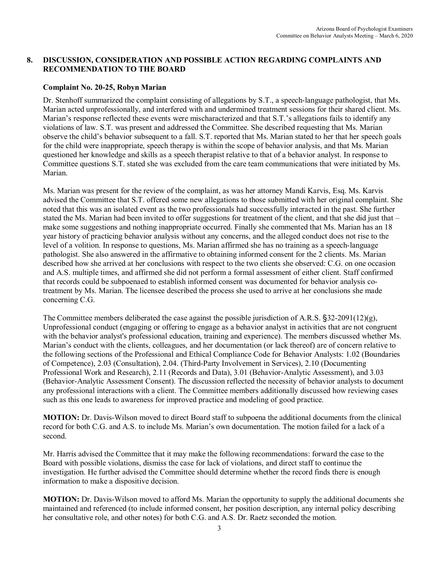# **8. DISCUSSION, CONSIDERATION AND POSSIBLE ACTION REGARDING COMPLAINTS AND RECOMMENDATION TO THE BOARD**

# **Complaint No. 20-25, Robyn Marian**

Dr. Stenhoff summarized the complaint consisting of allegations by S.T., a speech-language pathologist, that Ms. Marian acted unprofessionally, and interfered with and undermined treatment sessions for their shared client. Ms. Marian's response reflected these events were mischaracterized and that S.T.'s allegations fails to identify any violations of law. S.T. was present and addressed the Committee. She described requesting that Ms. Marian observe the child's behavior subsequent to a fall. S.T. reported that Ms. Marian stated to her that her speech goals for the child were inappropriate, speech therapy is within the scope of behavior analysis, and that Ms. Marian questioned her knowledge and skills as a speech therapist relative to that of a behavior analyst. In response to Committee questions S.T. stated she was excluded from the care team communications that were initiated by Ms. Marian.

Ms. Marian was present for the review of the complaint, as was her attorney Mandi Karvis, Esq. Ms. Karvis advised the Committee that S.T. offered some new allegations to those submitted with her original complaint. She noted that this was an isolated event as the two professionals had successfully interacted in the past. She further stated the Ms. Marian had been invited to offer suggestions for treatment of the client, and that she did just that – make some suggestions and nothing inappropriate occurred. Finally she commented that Ms. Marian has an 18 year history of practicing behavior analysis without any concerns, and the alleged conduct does not rise to the level of a volition. In response to questions, Ms. Marian affirmed she has no training as a speech-language pathologist. She also answered in the affirmative to obtaining informed consent for the 2 clients. Ms. Marian described how she arrived at her conclusions with respect to the two clients she observed: C.G. on one occasion and A.S. multiple times, and affirmed she did not perform a formal assessment of either client. Staff confirmed that records could be subpoenaed to establish informed consent was documented for behavior analysis cotreatment by Ms. Marian. The licensee described the process she used to arrive at her conclusions she made concerning C.G.

The Committee members deliberated the case against the possible jurisdiction of A.R.S.  $\S$ 32-2091(12)(g), Unprofessional conduct (engaging or offering to engage as a behavior analyst in activities that are not congruent with the behavior analyst's professional education, training and experience). The members discussed whether Ms. Marian's conduct with the clients, colleagues, and her documentation (or lack thereof) are of concern relative to the following sections of the Professional and Ethical Compliance Code for Behavior Analysts: 1.02 (Boundaries of Competence), 2.03 (Consultation), 2.04. (Third-Party Involvement in Services), 2.10 (Documenting Professional Work and Research), 2.11 (Records and Data), 3.01 (Behavior-Analytic Assessment), and 3.03 (Behavior-Analytic Assessment Consent). The discussion reflected the necessity of behavior analysts to document any professional interactions with a client. The Committee members additionally discussed how reviewing cases such as this one leads to awareness for improved practice and modeling of good practice.

**MOTION:** Dr. Davis-Wilson moved to direct Board staff to subpoena the additional documents from the clinical record for both C.G. and A.S. to include Ms. Marian's own documentation. The motion failed for a lack of a second.

Mr. Harris advised the Committee that it may make the following recommendations: forward the case to the Board with possible violations, dismiss the case for lack of violations, and direct staff to continue the investigation. He further advised the Committee should determine whether the record finds there is enough information to make a dispositive decision.

**MOTION:** Dr. Davis-Wilson moved to afford Ms. Marian the opportunity to supply the additional documents she maintained and referenced (to include informed consent, her position description, any internal policy describing her consultative role, and other notes) for both C.G. and A.S. Dr. Raetz seconded the motion.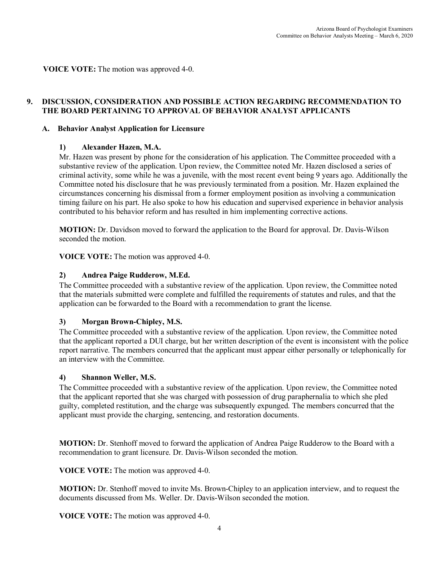**VOICE VOTE:** The motion was approved 4-0.

# **9. DISCUSSION, CONSIDERATION AND POSSIBLE ACTION REGARDING RECOMMENDATION TO THE BOARD PERTAINING TO APPROVAL OF BEHAVIOR ANALYST APPLICANTS**

#### **A. Behavior Analyst Application for Licensure**

#### **1) Alexander Hazen, M.A.**

Mr. Hazen was present by phone for the consideration of his application. The Committee proceeded with a substantive review of the application. Upon review, the Committee noted Mr. Hazen disclosed a series of criminal activity, some while he was a juvenile, with the most recent event being 9 years ago. Additionally the Committee noted his disclosure that he was previously terminated from a position. Mr. Hazen explained the circumstances concerning his dismissal from a former employment position as involving a communication timing failure on his part. He also spoke to how his education and supervised experience in behavior analysis contributed to his behavior reform and has resulted in him implementing corrective actions.

**MOTION:** Dr. Davidson moved to forward the application to the Board for approval. Dr. Davis-Wilson seconded the motion.

**VOICE VOTE:** The motion was approved 4-0.

# **2) Andrea Paige Rudderow, M.Ed.**

The Committee proceeded with a substantive review of the application. Upon review, the Committee noted that the materials submitted were complete and fulfilled the requirements of statutes and rules, and that the application can be forwarded to the Board with a recommendation to grant the license.

#### **3) Morgan Brown-Chipley, M.S.**

The Committee proceeded with a substantive review of the application. Upon review, the Committee noted that the applicant reported a DUI charge, but her written description of the event is inconsistent with the police report narrative. The members concurred that the applicant must appear either personally or telephonically for an interview with the Committee.

#### **4) Shannon Weller, M.S.**

The Committee proceeded with a substantive review of the application. Upon review, the Committee noted that the applicant reported that she was charged with possession of drug paraphernalia to which she pled guilty, completed restitution, and the charge was subsequently expunged. The members concurred that the applicant must provide the charging, sentencing, and restoration documents.

**MOTION:** Dr. Stenhoff moved to forward the application of Andrea Paige Rudderow to the Board with a recommendation to grant licensure. Dr. Davis-Wilson seconded the motion.

**VOICE VOTE:** The motion was approved 4-0.

**MOTION:** Dr. Stenhoff moved to invite Ms. Brown-Chipley to an application interview, and to request the documents discussed from Ms. Weller. Dr. Davis-Wilson seconded the motion.

**VOICE VOTE:** The motion was approved 4-0.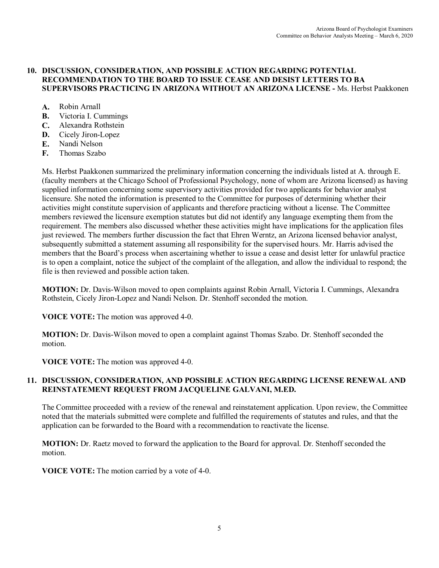### **10. DISCUSSION, CONSIDERATION, AND POSSIBLE ACTION REGARDING POTENTIAL RECOMMENDATION TO THE BOARD TO ISSUE CEASE AND DESIST LETTERS TO BA SUPERVISORS PRACTICING IN ARIZONA WITHOUT AN ARIZONA LICENSE -** Ms. Herbst Paakkonen

- **A.** Robin Arnall
- **B.** Victoria I. Cummings
- **C.** Alexandra Rothstein
- **D.** Cicely Jiron-Lopez
- **E.** Nandi Nelson
- **F.** Thomas Szabo

Ms. Herbst Paakkonen summarized the preliminary information concerning the individuals listed at A. through E. (faculty members at the Chicago School of Professional Psychology, none of whom are Arizona licensed) as having supplied information concerning some supervisory activities provided for two applicants for behavior analyst licensure. She noted the information is presented to the Committee for purposes of determining whether their activities might constitute supervision of applicants and therefore practicing without a license. The Committee members reviewed the licensure exemption statutes but did not identify any language exempting them from the requirement. The members also discussed whether these activities might have implications for the application files just reviewed. The members further discussion the fact that Ehren Werntz, an Arizona licensed behavior analyst, subsequently submitted a statement assuming all responsibility for the supervised hours. Mr. Harris advised the members that the Board's process when ascertaining whether to issue a cease and desist letter for unlawful practice is to open a complaint, notice the subject of the complaint of the allegation, and allow the individual to respond; the file is then reviewed and possible action taken.

**MOTION:** Dr. Davis-Wilson moved to open complaints against Robin Arnall, Victoria I. Cummings, Alexandra Rothstein, Cicely Jiron-Lopez and Nandi Nelson. Dr. Stenhoff seconded the motion.

**VOICE VOTE:** The motion was approved 4-0.

**MOTION:** Dr. Davis-Wilson moved to open a complaint against Thomas Szabo. Dr. Stenhoff seconded the motion.

**VOICE VOTE:** The motion was approved 4-0.

# **11. DISCUSSION, CONSIDERATION, AND POSSIBLE ACTION REGARDING LICENSE RENEWAL AND REINSTATEMENT REQUEST FROM JACQUELINE GALVANI, M.ED.**

The Committee proceeded with a review of the renewal and reinstatement application. Upon review, the Committee noted that the materials submitted were complete and fulfilled the requirements of statutes and rules, and that the application can be forwarded to the Board with a recommendation to reactivate the license.

**MOTION:** Dr. Raetz moved to forward the application to the Board for approval. Dr. Stenhoff seconded the motion.

**VOICE VOTE:** The motion carried by a vote of 4-0.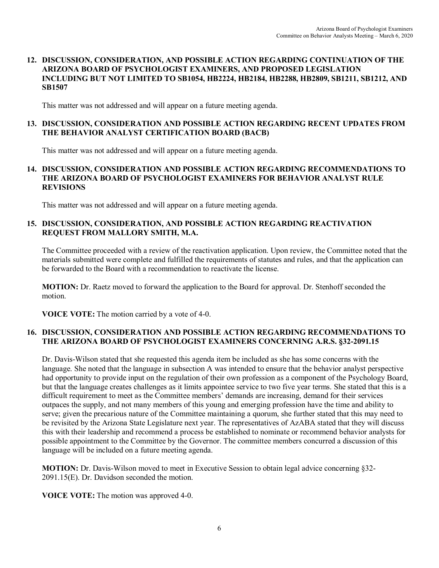### **12. DISCUSSION, CONSIDERATION, AND POSSIBLE ACTION REGARDING CONTINUATION OF THE ARIZONA BOARD OF PSYCHOLOGIST EXAMINERS, AND PROPOSED LEGISLATION INCLUDING BUT NOT LIMITED TO SB1054, HB2224, HB2184, HB2288, HB2809, SB1211, SB1212, AND SB1507**

This matter was not addressed and will appear on a future meeting agenda.

# **13. DISCUSSION, CONSIDERATION AND POSSIBLE ACTION REGARDING RECENT UPDATES FROM THE BEHAVIOR ANALYST CERTIFICATION BOARD (BACB)**

This matter was not addressed and will appear on a future meeting agenda.

### **14. DISCUSSION, CONSIDERATION AND POSSIBLE ACTION REGARDING RECOMMENDATIONS TO THE ARIZONA BOARD OF PSYCHOLOGIST EXAMINERS FOR BEHAVIOR ANALYST RULE REVISIONS**

This matter was not addressed and will appear on a future meeting agenda.

# **15. DISCUSSION, CONSIDERATION, AND POSSIBLE ACTION REGARDING REACTIVATION REQUEST FROM MALLORY SMITH, M.A.**

The Committee proceeded with a review of the reactivation application. Upon review, the Committee noted that the materials submitted were complete and fulfilled the requirements of statutes and rules, and that the application can be forwarded to the Board with a recommendation to reactivate the license.

**MOTION:** Dr. Raetz moved to forward the application to the Board for approval. Dr. Stenhoff seconded the motion.

**VOICE VOTE:** The motion carried by a vote of 4-0.

# **16. DISCUSSION, CONSIDERATION AND POSSIBLE ACTION REGARDING RECOMMENDATIONS TO THE ARIZONA BOARD OF PSYCHOLOGIST EXAMINERS CONCERNING A.R.S. §32-2091.15**

Dr. Davis-Wilson stated that she requested this agenda item be included as she has some concerns with the language. She noted that the language in subsection A was intended to ensure that the behavior analyst perspective had opportunity to provide input on the regulation of their own profession as a component of the Psychology Board, but that the language creates challenges as it limits appointee service to two five year terms. She stated that this is a difficult requirement to meet as the Committee members' demands are increasing, demand for their services outpaces the supply, and not many members of this young and emerging profession have the time and ability to serve; given the precarious nature of the Committee maintaining a quorum, she further stated that this may need to be revisited by the Arizona State Legislature next year. The representatives of AzABA stated that they will discuss this with their leadership and recommend a process be established to nominate or recommend behavior analysts for possible appointment to the Committee by the Governor. The committee members concurred a discussion of this language will be included on a future meeting agenda.

**MOTION:** Dr. Davis-Wilson moved to meet in Executive Session to obtain legal advice concerning §32- 2091.15(E). Dr. Davidson seconded the motion.

**VOICE VOTE:** The motion was approved 4-0.